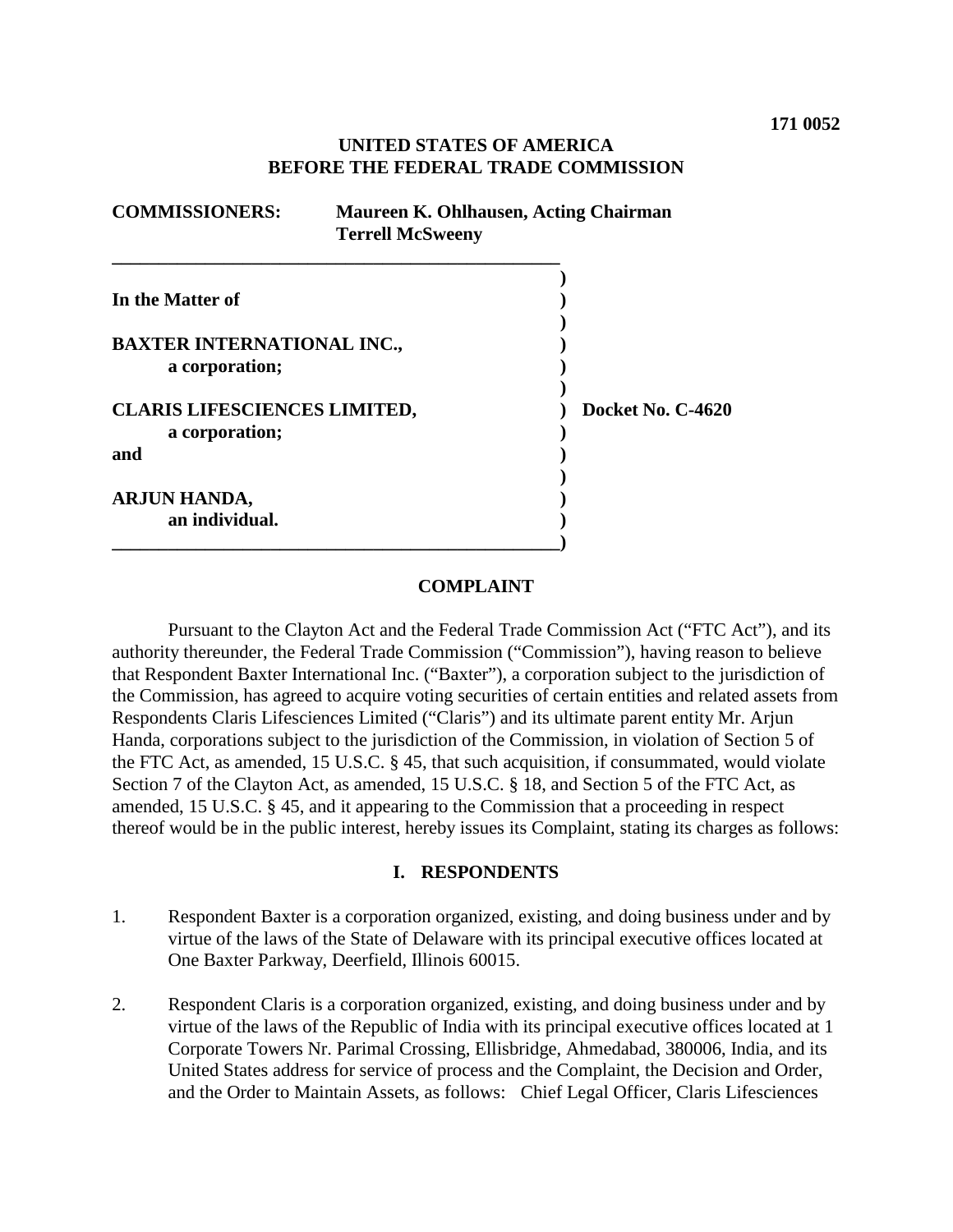# **UNITED STATES OF AMERICA BEFORE THE FEDERAL TRADE COMMISSION**

| <b>COMMISSIONERS:</b><br>Maureen K. Ohlhausen, Acting Chairman<br><b>Terrell McSweeny</b> |  |                   |  |
|-------------------------------------------------------------------------------------------|--|-------------------|--|
| In the Matter of                                                                          |  |                   |  |
| <b>BAXTER INTERNATIONAL INC.,</b><br>a corporation;                                       |  |                   |  |
| <b>CLARIS LIFESCIENCES LIMITED,</b><br>a corporation;                                     |  | Docket No. C-4620 |  |
| and                                                                                       |  |                   |  |
| ARJUN HANDA,<br>an individual.                                                            |  |                   |  |

#### **COMPLAINT**

Pursuant to the Clayton Act and the Federal Trade Commission Act ("FTC Act"), and its authority thereunder, the Federal Trade Commission ("Commission"), having reason to believe that Respondent Baxter International Inc. ("Baxter"), a corporation subject to the jurisdiction of the Commission, has agreed to acquire voting securities of certain entities and related assets from Respondents Claris Lifesciences Limited ("Claris") and its ultimate parent entity Mr. Arjun Handa, corporations subject to the jurisdiction of the Commission, in violation of Section 5 of the FTC Act, as amended, 15 U.S.C. § 45, that such acquisition, if consummated, would violate Section 7 of the Clayton Act, as amended, 15 U.S.C. § 18, and Section 5 of the FTC Act, as amended, 15 U.S.C. § 45, and it appearing to the Commission that a proceeding in respect thereof would be in the public interest, hereby issues its Complaint, stating its charges as follows:

# **I. RESPONDENTS**

- 1. Respondent Baxter is a corporation organized, existing, and doing business under and by virtue of the laws of the State of Delaware with its principal executive offices located at One Baxter Parkway, Deerfield, Illinois 60015.
- 2. Respondent Claris is a corporation organized, existing, and doing business under and by virtue of the laws of the Republic of India with its principal executive offices located at 1 Corporate Towers Nr. Parimal Crossing, Ellisbridge, Ahmedabad, 380006, India, and its United States address for service of process and the Complaint, the Decision and Order, and the Order to Maintain Assets, as follows: Chief Legal Officer, Claris Lifesciences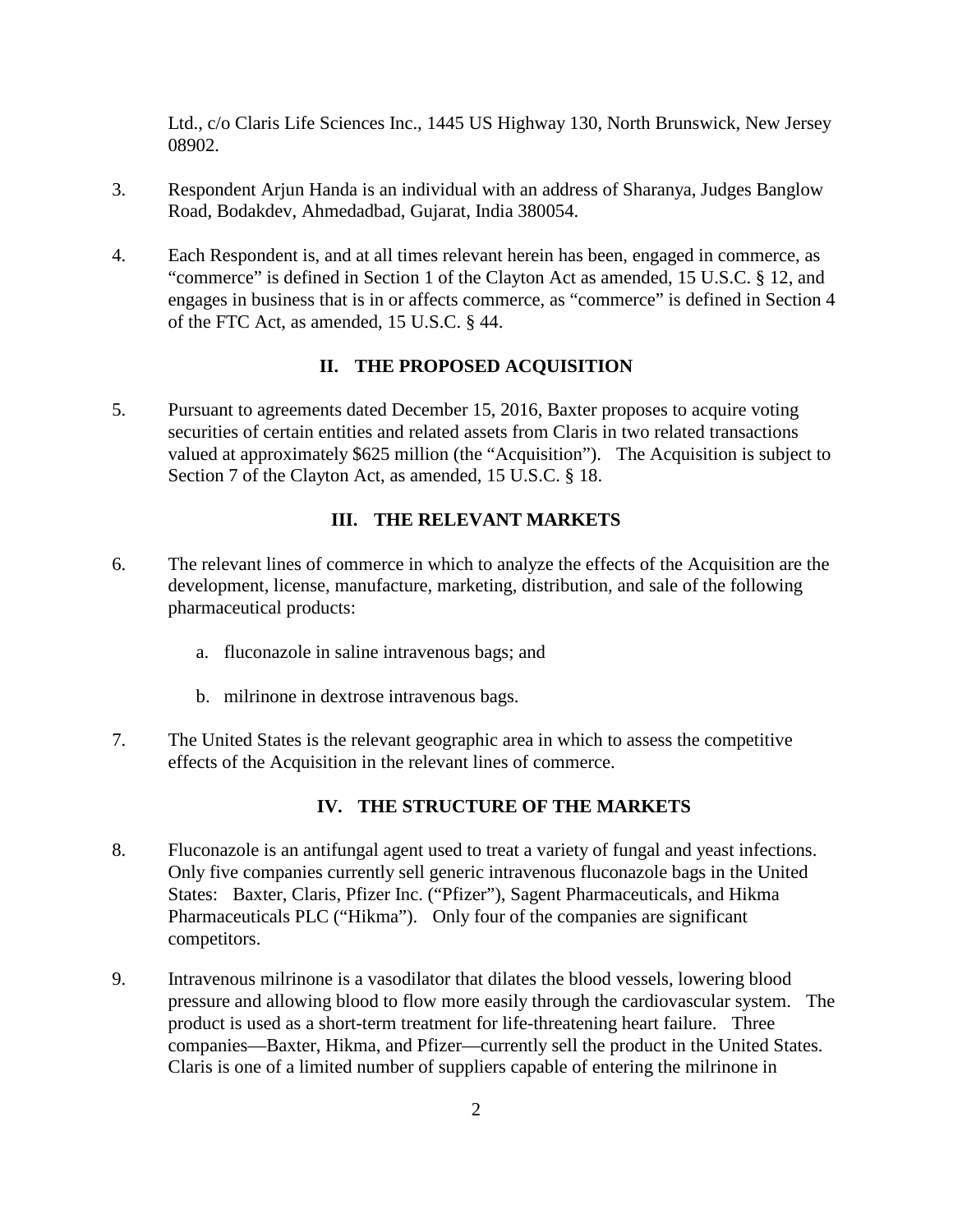Ltd., c/o Claris Life Sciences Inc., 1445 US Highway 130, North Brunswick, New Jersey 08902.

- 3. Respondent Arjun Handa is an individual with an address of Sharanya, Judges Banglow Road, Bodakdev, Ahmedadbad, Gujarat, India 380054.
- 4. Each Respondent is, and at all times relevant herein has been, engaged in commerce, as "commerce" is defined in Section 1 of the Clayton Act as amended, 15 U.S.C. § 12, and engages in business that is in or affects commerce, as "commerce" is defined in Section 4 of the FTC Act, as amended, 15 U.S.C. § 44.

#### **II. THE PROPOSED ACQUISITION**

5. Pursuant to agreements dated December 15, 2016, Baxter proposes to acquire voting securities of certain entities and related assets from Claris in two related transactions valued at approximately \$625 million (the "Acquisition"). The Acquisition is subject to Section 7 of the Clayton Act, as amended, 15 U.S.C. § 18.

### **III. THE RELEVANT MARKETS**

- 6. The relevant lines of commerce in which to analyze the effects of the Acquisition are the development, license, manufacture, marketing, distribution, and sale of the following pharmaceutical products:
	- a. fluconazole in saline intravenous bags; and
	- b. milrinone in dextrose intravenous bags.
- 7. The United States is the relevant geographic area in which to assess the competitive effects of the Acquisition in the relevant lines of commerce.

# **IV. THE STRUCTURE OF THE MARKETS**

- 8. Fluconazole is an antifungal agent used to treat a variety of fungal and yeast infections. Only five companies currently sell generic intravenous fluconazole bags in the United States: Baxter, Claris, Pfizer Inc. ("Pfizer"), Sagent Pharmaceuticals, and Hikma Pharmaceuticals PLC ("Hikma"). Only four of the companies are significant competitors.
- 9. Intravenous milrinone is a vasodilator that dilates the blood vessels, lowering blood pressure and allowing blood to flow more easily through the cardiovascular system. The product is used as a short-term treatment for life-threatening heart failure. Three companies—Baxter, Hikma, and Pfizer—currently sell the product in the United States. Claris is one of a limited number of suppliers capable of entering the milrinone in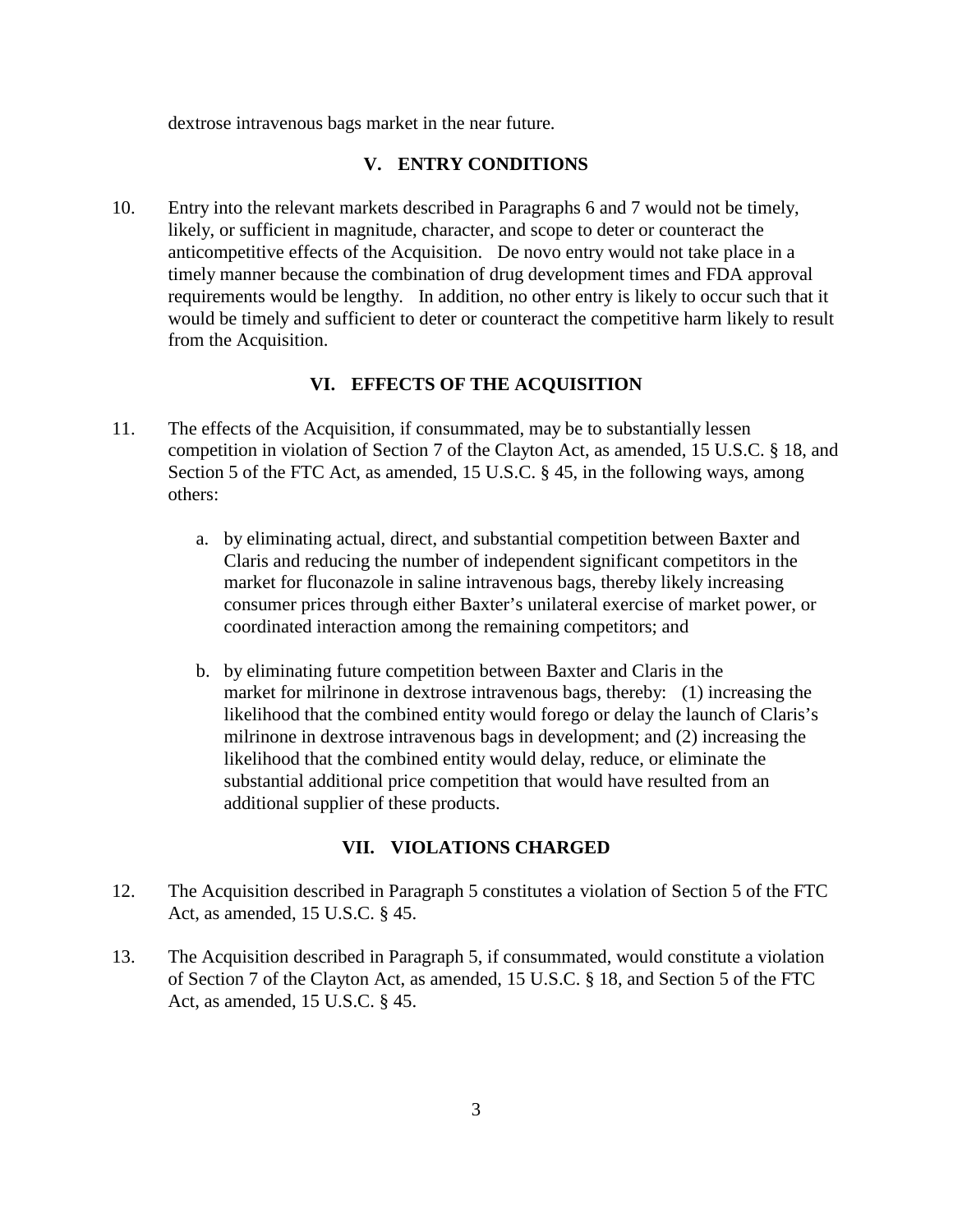dextrose intravenous bags market in the near future.

## **V. ENTRY CONDITIONS**

10. Entry into the relevant markets described in Paragraphs 6 and 7 would not be timely, likely, or sufficient in magnitude, character, and scope to deter or counteract the anticompetitive effects of the Acquisition. De novo entry would not take place in a timely manner because the combination of drug development times and FDA approval requirements would be lengthy. In addition, no other entry is likely to occur such that it would be timely and sufficient to deter or counteract the competitive harm likely to result from the Acquisition.

### **VI. EFFECTS OF THE ACQUISITION**

- 11. The effects of the Acquisition, if consummated, may be to substantially lessen competition in violation of Section 7 of the Clayton Act, as amended, 15 U.S.C. § 18, and Section 5 of the FTC Act, as amended, 15 U.S.C. § 45, in the following ways, among others:
	- a. by eliminating actual, direct, and substantial competition between Baxter and Claris and reducing the number of independent significant competitors in the market for fluconazole in saline intravenous bags, thereby likely increasing consumer prices through either Baxter's unilateral exercise of market power, or coordinated interaction among the remaining competitors; and
	- b. by eliminating future competition between Baxter and Claris in the market for milrinone in dextrose intravenous bags, thereby: (1) increasing the likelihood that the combined entity would forego or delay the launch of Claris's milrinone in dextrose intravenous bags in development; and (2) increasing the likelihood that the combined entity would delay, reduce, or eliminate the substantial additional price competition that would have resulted from an additional supplier of these products.

# **VII. VIOLATIONS CHARGED**

- 12. The Acquisition described in Paragraph 5 constitutes a violation of Section 5 of the FTC Act, as amended, 15 U.S.C. § 45.
- 13. The Acquisition described in Paragraph 5, if consummated, would constitute a violation of Section 7 of the Clayton Act, as amended, 15 U.S.C. § 18, and Section 5 of the FTC Act, as amended, 15 U.S.C. § 45.